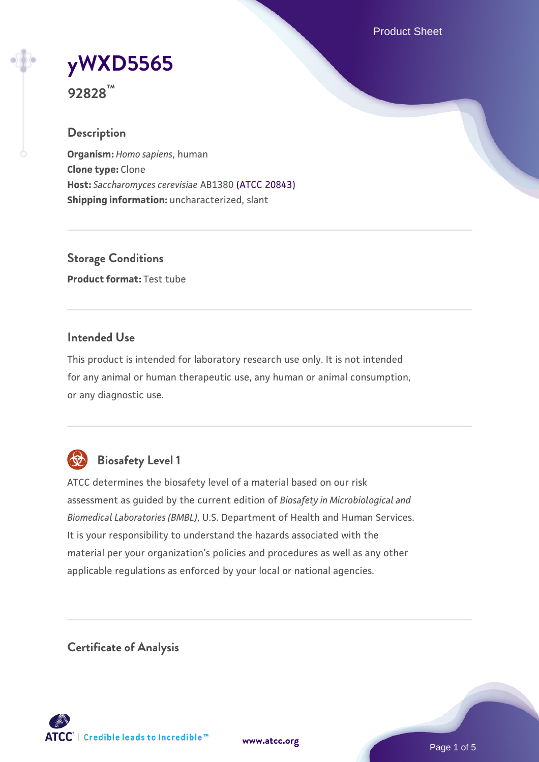Product Sheet

# **[yWXD5565](https://www.atcc.org/products/92828)**

**92828™**

## **Description**

**Organism:** *Homo sapiens*, human **Clone type:** Clone **Host:** *Saccharomyces cerevisiae* AB1380 [\(ATCC 20843\)](https://www.atcc.org/products/20843) **Shipping information:** uncharacterized, slant

**Storage Conditions Product format:** Test tube

## **Intended Use**

This product is intended for laboratory research use only. It is not intended for any animal or human therapeutic use, any human or animal consumption, or any diagnostic use.



## **Biosafety Level 1**

ATCC determines the biosafety level of a material based on our risk assessment as guided by the current edition of *Biosafety in Microbiological and Biomedical Laboratories (BMBL)*, U.S. Department of Health and Human Services. It is your responsibility to understand the hazards associated with the material per your organization's policies and procedures as well as any other applicable regulations as enforced by your local or national agencies.

**Certificate of Analysis**

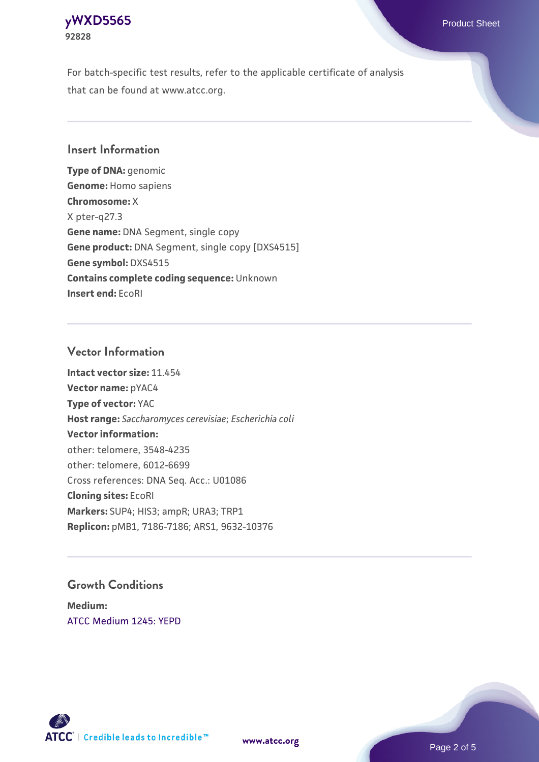## **[yWXD5565](https://www.atcc.org/products/92828)** Product Sheet **92828**

For batch-specific test results, refer to the applicable certificate of analysis that can be found at www.atcc.org.

## **Insert Information**

**Type of DNA:** genomic **Genome:** Homo sapiens **Chromosome:** X X pter-q27.3 **Gene name:** DNA Segment, single copy **Gene product:** DNA Segment, single copy [DXS4515] **Gene symbol:** DXS4515 **Contains complete coding sequence:** Unknown **Insert end:** EcoRI

## **Vector Information**

**Intact vector size:** 11.454 **Vector name:** pYAC4 **Type of vector:** YAC **Host range:** *Saccharomyces cerevisiae*; *Escherichia coli* **Vector information:** other: telomere, 3548-4235 other: telomere, 6012-6699 Cross references: DNA Seq. Acc.: U01086 **Cloning sites:** EcoRI **Markers:** SUP4; HIS3; ampR; URA3; TRP1 **Replicon:** pMB1, 7186-7186; ARS1, 9632-10376

## **Growth Conditions**

**Medium:**  [ATCC Medium 1245: YEPD](https://www.atcc.org/-/media/product-assets/documents/microbial-media-formulations/1/2/4/5/atcc-medium-1245.pdf?rev=705ca55d1b6f490a808a965d5c072196)



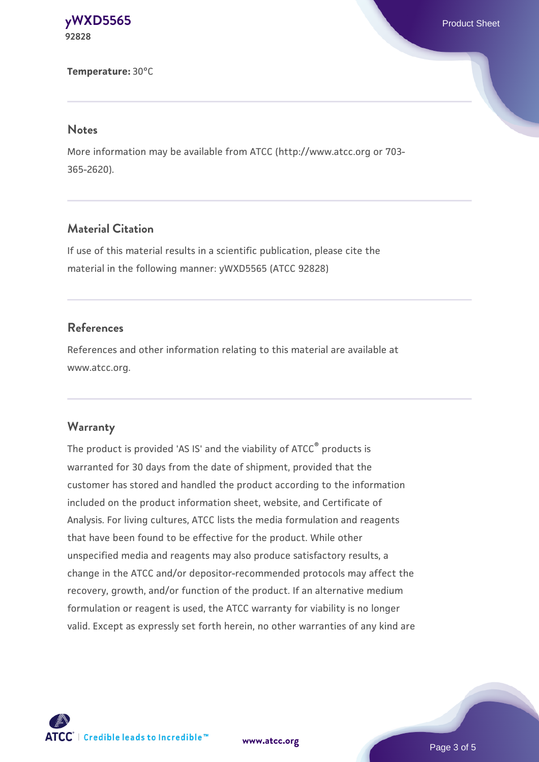#### **[yWXD5565](https://www.atcc.org/products/92828)** Product Sheet **92828**

**Temperature:** 30°C

#### **Notes**

More information may be available from ATCC (http://www.atcc.org or 703- 365-2620).

## **Material Citation**

If use of this material results in a scientific publication, please cite the material in the following manner: yWXD5565 (ATCC 92828)

## **References**

References and other information relating to this material are available at www.atcc.org.

## **Warranty**

The product is provided 'AS IS' and the viability of ATCC® products is warranted for 30 days from the date of shipment, provided that the customer has stored and handled the product according to the information included on the product information sheet, website, and Certificate of Analysis. For living cultures, ATCC lists the media formulation and reagents that have been found to be effective for the product. While other unspecified media and reagents may also produce satisfactory results, a change in the ATCC and/or depositor-recommended protocols may affect the recovery, growth, and/or function of the product. If an alternative medium formulation or reagent is used, the ATCC warranty for viability is no longer valid. Except as expressly set forth herein, no other warranties of any kind are



**[www.atcc.org](http://www.atcc.org)**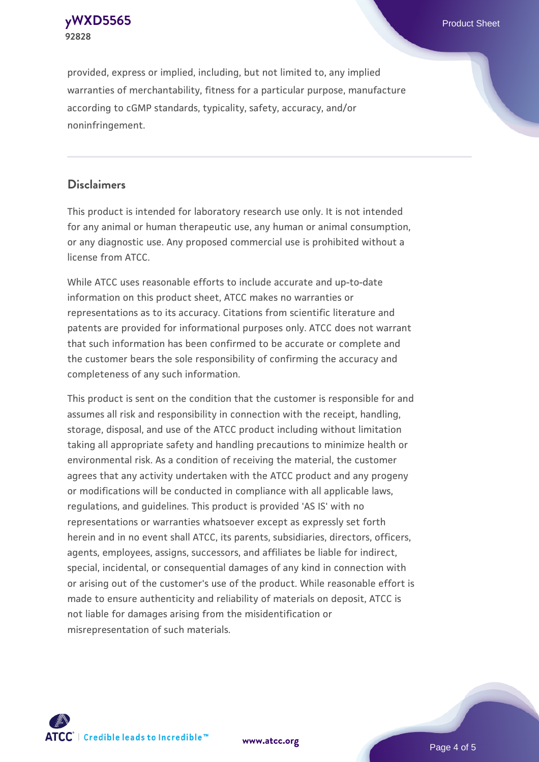**[yWXD5565](https://www.atcc.org/products/92828)** Product Sheet **92828**

provided, express or implied, including, but not limited to, any implied warranties of merchantability, fitness for a particular purpose, manufacture according to cGMP standards, typicality, safety, accuracy, and/or noninfringement.

## **Disclaimers**

This product is intended for laboratory research use only. It is not intended for any animal or human therapeutic use, any human or animal consumption, or any diagnostic use. Any proposed commercial use is prohibited without a license from ATCC.

While ATCC uses reasonable efforts to include accurate and up-to-date information on this product sheet, ATCC makes no warranties or representations as to its accuracy. Citations from scientific literature and patents are provided for informational purposes only. ATCC does not warrant that such information has been confirmed to be accurate or complete and the customer bears the sole responsibility of confirming the accuracy and completeness of any such information.

This product is sent on the condition that the customer is responsible for and assumes all risk and responsibility in connection with the receipt, handling, storage, disposal, and use of the ATCC product including without limitation taking all appropriate safety and handling precautions to minimize health or environmental risk. As a condition of receiving the material, the customer agrees that any activity undertaken with the ATCC product and any progeny or modifications will be conducted in compliance with all applicable laws, regulations, and guidelines. This product is provided 'AS IS' with no representations or warranties whatsoever except as expressly set forth herein and in no event shall ATCC, its parents, subsidiaries, directors, officers, agents, employees, assigns, successors, and affiliates be liable for indirect, special, incidental, or consequential damages of any kind in connection with or arising out of the customer's use of the product. While reasonable effort is made to ensure authenticity and reliability of materials on deposit, ATCC is not liable for damages arising from the misidentification or misrepresentation of such materials.



**[www.atcc.org](http://www.atcc.org)**

Page 4 of 5